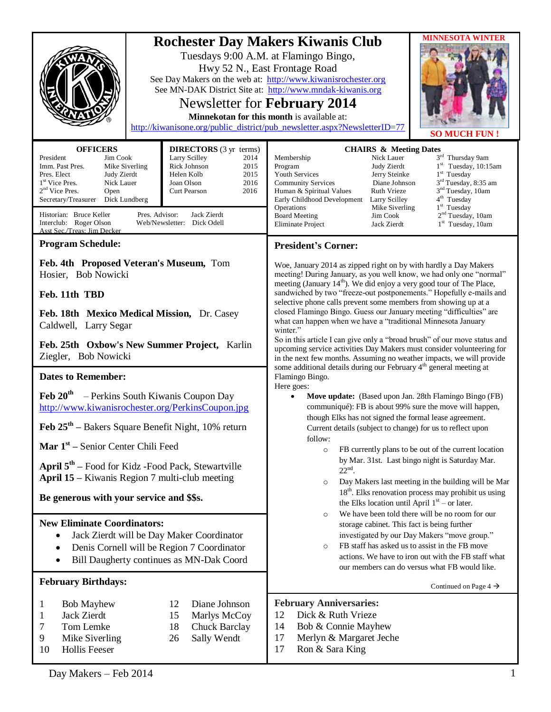|                                                                                                                                                                                                                                                                                                                                   | Hwy 52 N., East Frontage Road                                                                                                                                                                   | <b>MINNESOTA WINTER</b><br><b>Rochester Day Makers Kiwanis Club</b><br>Tuesdays 9:00 A.M. at Flamingo Bingo,<br>See Day Makers on the web at: http://www.kiwanisrochester.org<br>See MN-DAK District Site at: http://www.mndak-kiwanis.org<br>Newsletter for February 2014<br>Minnekotan for this month is available at:<br>http://kiwanisone.org/public_district/pub_newsletter.aspx?NewsletterID=77<br><b>SO MUCH FUN!</b>                                                                                                                                                                                                                                                                                                                                                                                                              |  |
|-----------------------------------------------------------------------------------------------------------------------------------------------------------------------------------------------------------------------------------------------------------------------------------------------------------------------------------|-------------------------------------------------------------------------------------------------------------------------------------------------------------------------------------------------|-------------------------------------------------------------------------------------------------------------------------------------------------------------------------------------------------------------------------------------------------------------------------------------------------------------------------------------------------------------------------------------------------------------------------------------------------------------------------------------------------------------------------------------------------------------------------------------------------------------------------------------------------------------------------------------------------------------------------------------------------------------------------------------------------------------------------------------------|--|
| <b>OFFICERS</b><br>President<br>Jim Cook<br>Imm. Past Pres.<br>Mike Siverling<br>Pres. Elect<br>Judy Zierdt<br>1 <sup>st</sup> Vice Pres.<br>Nick Lauer<br>$2nd$ Vice Pres.<br>Open<br>Secretary/Treasurer<br>Dick Lundberg<br>Historian: Bruce Keller<br>Pres. Advisor:<br>Interclub: Roger Olson<br>Asst Sec./Treas: Jim Decker | <b>DIRECTORS</b> (3 yr terms)<br>Larry Scilley<br>2014<br>Rick Johnson<br>2015<br>Helen Kolb<br>2015<br>2016<br>Joan Olson<br>Curt Pearson<br>2016<br>Jack Zierdt<br>Web/Newsletter: Dick Odell | <b>CHAIRS &amp; Meeting Dates</b><br>3rd Thursday 9am<br>Membership<br>Nick Lauer<br>$1st$ Tuesday, 10:15am<br>Judy Zierdt<br>Program<br>$1st$ Tuesday<br>Youth Services<br>Jerry Steinke<br>3 <sup>rd</sup> Tuesday, 8:35 am<br><b>Community Services</b><br>Diane Johnson<br>3 <sup>nd</sup> Tuesday, 10am<br>Human & Spiritual Values<br><b>Ruth Vrieze</b><br>4 <sup>th</sup> Tuesday<br>Early Childhood Development<br>Larry Scilley<br>$1st$ Tuesday<br>Operations<br>Mike Siverling<br>2 <sup>nd</sup> Tuesday, 10am<br><b>Board Meeting</b><br>Jim Cook<br>$1st$ Tuesday, 10am<br>Eliminate Project<br>Jack Zierdt                                                                                                                                                                                                                |  |
| <b>Program Schedule:</b>                                                                                                                                                                                                                                                                                                          |                                                                                                                                                                                                 | <b>President's Corner:</b>                                                                                                                                                                                                                                                                                                                                                                                                                                                                                                                                                                                                                                                                                                                                                                                                                |  |
| Feb. 4th Proposed Veteran's Museum, Tom<br>Hosier, Bob Nowicki<br>Feb. 11th TBD                                                                                                                                                                                                                                                   |                                                                                                                                                                                                 | Woe, January 2014 as zipped right on by with hardly a Day Makers<br>meeting! During January, as you well know, we had only one "normal"<br>meeting (January 14 <sup>th</sup> ). We did enjoy a very good tour of The Place,<br>sandwiched by two "freeze-out postponements." Hopefully e-mails and<br>selective phone calls prevent some members from showing up at a<br>closed Flamingo Bingo. Guess our January meeting "difficulties" are<br>what can happen when we have a "traditional Minnesota January<br>winter."<br>So in this article I can give only a "broad brush" of our move status and<br>upcoming service activities Day Makers must consider volunteering for<br>in the next few months. Assuming no weather impacts, we will provide<br>some additional details during our February 4 <sup>th</sup> general meeting at |  |
| Feb. 18th Mexico Medical Mission, Dr. Casey<br>Caldwell, Larry Segar                                                                                                                                                                                                                                                              |                                                                                                                                                                                                 |                                                                                                                                                                                                                                                                                                                                                                                                                                                                                                                                                                                                                                                                                                                                                                                                                                           |  |
| Feb. 25th Oxbow's New Summer Project, Karlin<br>Ziegler, Bob Nowicki                                                                                                                                                                                                                                                              |                                                                                                                                                                                                 |                                                                                                                                                                                                                                                                                                                                                                                                                                                                                                                                                                                                                                                                                                                                                                                                                                           |  |
| <b>Dates to Remember:</b>                                                                                                                                                                                                                                                                                                         |                                                                                                                                                                                                 | Flamingo Bingo.<br>Here goes:                                                                                                                                                                                                                                                                                                                                                                                                                                                                                                                                                                                                                                                                                                                                                                                                             |  |
| Feb $20th$ – Perkins South Kiwanis Coupon Day<br>http://www.kiwanisrochester.org/PerkinsCoupon.jpg                                                                                                                                                                                                                                |                                                                                                                                                                                                 | Move update: (Based upon Jan. 28th Flamingo Bingo (FB)<br>$\bullet$<br>communiqué): FB is about 99% sure the move will happen,<br>though Elks has not signed the formal lease agreement.<br>Current details (subject to change) for us to reflect upon<br>follow:                                                                                                                                                                                                                                                                                                                                                                                                                                                                                                                                                                         |  |
| Feb 25 <sup>th</sup> – Bakers Square Benefit Night, 10% return                                                                                                                                                                                                                                                                    |                                                                                                                                                                                                 |                                                                                                                                                                                                                                                                                                                                                                                                                                                                                                                                                                                                                                                                                                                                                                                                                                           |  |
| <b>Mar</b> $1st$ – Senior Center Chili Feed<br>April $5th$ – Food for Kidz - Food Pack, Stewartville<br><b>April 15 – Kiwanis Region 7 multi-club meeting</b><br>Be generous with your service and \$\$s.                                                                                                                         |                                                                                                                                                                                                 | FB currently plans to be out of the current location<br>$\circ$<br>by Mar. 31st. Last bingo night is Saturday Mar.<br>$22nd$ .<br>Day Makers last meeting in the building will be Mar<br>$\circ$<br>$18th$ . Elks renovation process may prohibit us using<br>the Elks location until April $1st$ – or later.<br>We have been told there will be no room for our                                                                                                                                                                                                                                                                                                                                                                                                                                                                          |  |
| <b>New Eliminate Coordinators:</b><br>Jack Zierdt will be Day Maker Coordinator<br>Denis Cornell will be Region 7 Coordinator<br>$\bullet$<br>Bill Daugherty continues as MN-Dak Coord                                                                                                                                            |                                                                                                                                                                                                 | $\circ$<br>storage cabinet. This fact is being further<br>investigated by our Day Makers "move group."<br>FB staff has asked us to assist in the FB move<br>$\circ$<br>actions. We have to iron out with the FB staff what<br>our members can do versus what FB would like.                                                                                                                                                                                                                                                                                                                                                                                                                                                                                                                                                               |  |
| <b>February Birthdays:</b>                                                                                                                                                                                                                                                                                                        |                                                                                                                                                                                                 | Continued on Page 4 $\rightarrow$                                                                                                                                                                                                                                                                                                                                                                                                                                                                                                                                                                                                                                                                                                                                                                                                         |  |
| <b>Bob Mayhew</b><br>1<br>Jack Zierdt<br>1<br>Tom Lemke<br>7<br>9<br>Mike Siverling<br><b>Hollis Feeser</b><br>10                                                                                                                                                                                                                 | 12<br>Diane Johnson<br>15<br>Marlys McCoy<br>18<br><b>Chuck Barclay</b><br>Sally Wendt<br>26                                                                                                    | <b>February Anniversaries:</b><br>Dick & Ruth Vrieze<br>12<br>14<br>Bob & Connie Mayhew<br>17<br>Merlyn & Margaret Jeche<br>17<br>Ron & Sara King                                                                                                                                                                                                                                                                                                                                                                                                                                                                                                                                                                                                                                                                                         |  |

Day Makers – Feb 2014 1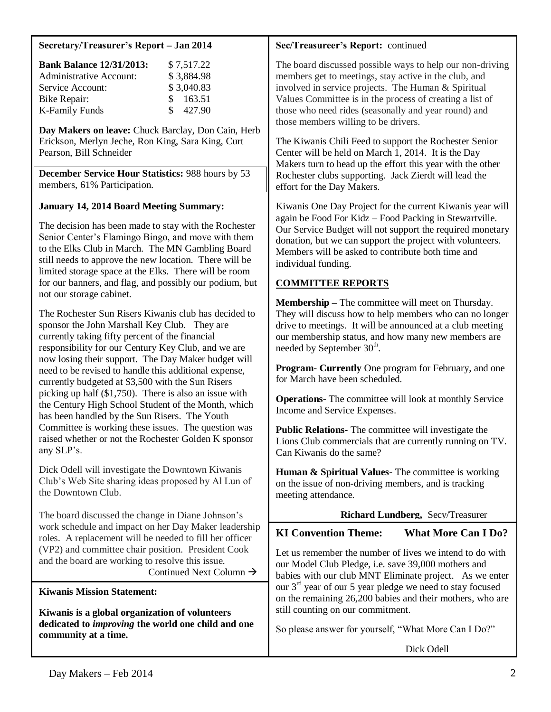### **Secretary/Treasurer's Report – Jan 2014**

| <b>Bank Balance 12/31/2013:</b> |     | \$7,517.22 |
|---------------------------------|-----|------------|
| <b>Administrative Account:</b>  |     | \$3,884.98 |
| Service Account:                |     | \$3,040.83 |
| Bike Repair:                    |     | \$163.51   |
| <b>K-Family Funds</b>           | SS. | 427.90     |

**Day Makers on leave:** Chuck Barclay, Don Cain, Herb Erickson, Merlyn Jeche, Ron King, Sara King, Curt Pearson, Bill Schneider

**December Service Hour Statistics:** 988 hours by 53 members, 61% Participation.

# **January 14, 2014 Board Meeting Summary:**

The decision has been made to stay with the Rochester Senior Center's Flamingo Bingo, and move with them to the Elks Club in March. The MN Gambling Board still needs to approve the new location. There will be limited storage space at the Elks. There will be room for our banners, and flag, and possibly our podium, but not our storage cabinet.

The Rochester Sun Risers Kiwanis club has decided to sponsor the John Marshall Key Club. They are currently taking fifty percent of the financial responsibility for our Century Key Club, and we are now losing their support. The Day Maker budget will need to be revised to handle this additional expense, currently budgeted at \$3,500 with the Sun Risers picking up half (\$1,750). There is also an issue with the Century High School Student of the Month, which has been handled by the Sun Risers. The Youth Committee is working these issues. The question was raised whether or not the Rochester Golden K sponsor any SLP's.

Dick Odell will investigate the Downtown Kiwanis Club's Web Site sharing ideas proposed by Al Lun of the Downtown Club.

The board discussed the change in Diane Johnson's work schedule and impact on her Day Maker leadership roles. A replacement will be needed to fill her officer (VP2) and committee chair position. President Cook and the board are working to resolve this issue. Continued Next Column  $\rightarrow$ 

# **Kiwanis Mission Statement:**

**Kiwanis is a global organization of volunteers dedicated to** *improving* **the world one child and one community at a time.**

# **Sec/Treasureer's Report:** continued

The board discussed possible ways to help our non-driving members get to meetings, stay active in the club, and involved in service projects. The Human & Spiritual Values Committee is in the process of creating a list of those who need rides (seasonally and year round) and those members willing to be drivers.

The Kiwanis Chili Feed to support the Rochester Senior Center will be held on March 1, 2014. It is the Day Makers turn to head up the effort this year with the other Rochester clubs supporting. Jack Zierdt will lead the effort for the Day Makers.

Kiwanis One Day Project for the current Kiwanis year will again be Food For Kidz – Food Packing in Stewartville. Our Service Budget will not support the required monetary donation, but we can support the project with volunteers. Members will be asked to contribute both time and individual funding.

# **COMMITTEE REPORTS**

**Membership –** The committee will meet on Thursday. They will discuss how to help members who can no longer drive to meetings. It will be announced at a club meeting our membership status, and how many new members are needed by September 30<sup>th</sup>.

**Program- Currently** One program for February, and one for March have been scheduled.

**Operations-** The committee will look at monthly Service Income and Service Expenses.

**Public Relations-** The committee will investigate the Lions Club commercials that are currently running on TV. Can Kiwanis do the same?

**Human & Spiritual Values-** The committee is working on the issue of non-driving members, and is tracking meeting attendance.

# **Richard Lundberg,** Secy/Treasurer

# **KI Convention Theme: What More Can I Do?**

Let us remember the number of lives we intend to do with our Model Club Pledge, i.e. save 39,000 mothers and babies with our club MNT Eliminate project. As we enter our 3rd year of our 5 year pledge we need to stay focused on the remaining 26,200 babies and their mothers, who are still counting on our commitment.

So please answer for yourself, "What More Can I Do?"

Dick Odell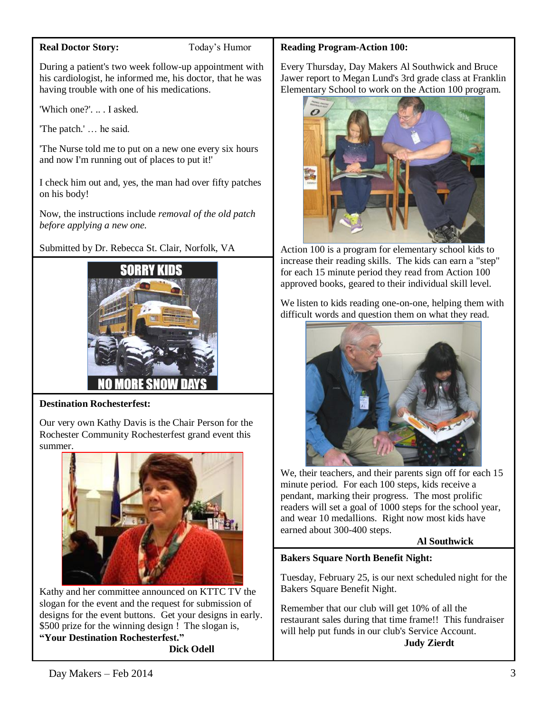### **Real Doctor Story:** Today's Humor

During a patient's two week follow-up appointment with his cardiologist, he informed me, his doctor, that he was having trouble with one of his medications.

'Which one?'. .. . I asked.

'The patch.' … he said.

'The Nurse told me to put on a new one every six hours and now I'm running out of places to put it!'

I check him out and, yes, the man had over fifty patches on his body!

Now, the instructions include *removal of the old patch before applying a new one.*

Submitted by Dr. Rebecca St. Clair, Norfolk, VA



# **Destination Rochesterfest:**

Our very own Kathy Davis is the Chair Person for the Rochester Community Rochesterfest grand event this summer.



Kathy and her committee announced on KTTC TV the slogan for the event and the request for submission of designs for the event buttons. Get your designs in early. \$500 prize for the winning design ! The slogan is, **"Your Destination Rochesterfest."**

**Dick Odell**

### **Reading Program-Action 100:**

Every Thursday, Day Makers Al Southwick and Bruce Jawer report to Megan Lund's 3rd grade class at Franklin Elementary School to work on the Action 100 program.



Action 100 is a program for elementary school kids to increase their reading skills. The kids can earn a "step" for each 15 minute period they read from Action 100 approved books, geared to their individual skill level.

We listen to kids reading one-on-one, helping them with difficult words and question them on what they read.



We, their teachers, and their parents sign off for each 15 minute period. For each 100 steps, kids receive a pendant, marking their progress. The most prolific readers will set a goal of 1000 steps for the school year, and wear 10 medallions. Right now most kids have earned about 300-400 steps.

# **Al Southwick**

# **Bakers Square North Benefit Night:**

Tuesday, February 25, is our next scheduled night for the Bakers Square Benefit Night.

Remember that our club will get 10% of all the restaurant sales during that time frame!! This fundraiser will help put funds in our club's Service Account. **Judy Zierdt**